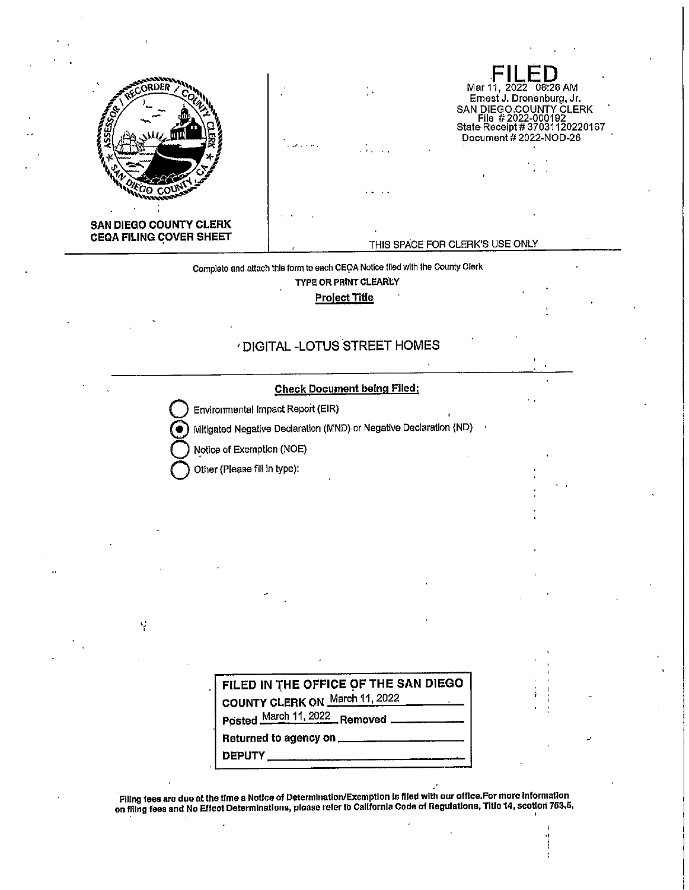

Mar 11, 2022 08:26 AM<br>Ernest J. Dronenburg, Jr. EMPLIEGO.COUNTY CLERK<br>SAN DIEGO.COUNTY CLERK<br>File #2022-000192<br>State Receipt #37031120220167 Document #2022-NOD-26

THIS SPACE FOR CLERK'S USE ONLY

Complete and attach this form to each CEOA Notice filed with the County Clerk

**TYPE OR PRINT CLEARLY** 

**Project Title** 

## ' DIGITAL -LOTUS STREET HOMES

## **Check Document being Filed:**

Environmental Impact Report (EIR)

Mitigated Negative Declaration (MND) or Negative Declaration (ND)

Notice of Exemption (NOE)

Other (Please fill in type):

 $\bullet$ 

Ý

| FILED IN THE OFFICE OF THE SAN DIEGO        |
|---------------------------------------------|
| COUNTY CLERK ON March 11, 2022              |
| Posted March 11, 2022 Removed _____________ |
|                                             |
| דווסמח                                      |

Filing fees are due at the time a Notice of Determination/Exemption is filed with our office.For more information<br>On filing fees and No Effect Determinations, please refer to California Code of Regulations, Title 14, secti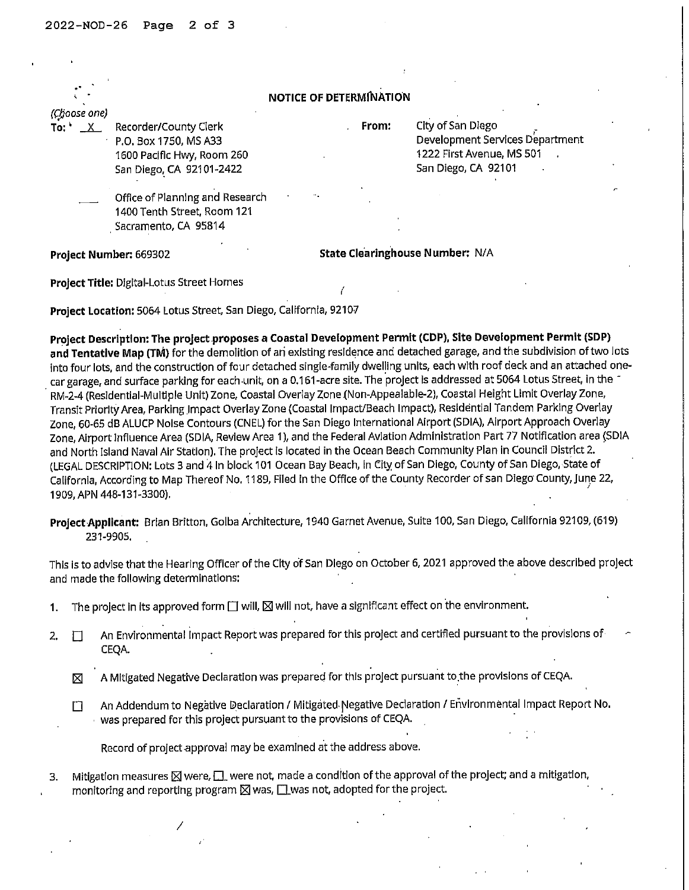|                        | <b>NOTICE OF DETERMINATION</b>                                                                           |                                        |                                                                                                          |  |  |  |  |  |
|------------------------|----------------------------------------------------------------------------------------------------------|----------------------------------------|----------------------------------------------------------------------------------------------------------|--|--|--|--|--|
| (Choose one)           |                                                                                                          |                                        |                                                                                                          |  |  |  |  |  |
|                        | Recorder/County Clerk<br>P.O. Box 1750, MS A33<br>1600 Pacific Hwy, Room 260<br>San Diego, CA 92101-2422 | From:                                  | City of San Diego<br>Development Services Department<br>1222 First Avenue, MS 501<br>San Diego, CA 92101 |  |  |  |  |  |
|                        | Office of Planning and Research<br>1400 Tenth Street, Room 121<br>Sacramento, CA 95814                   |                                        |                                                                                                          |  |  |  |  |  |
| Project Number: 669302 |                                                                                                          | <b>State Clearinghouse Number: N/A</b> |                                                                                                          |  |  |  |  |  |
|                        | Project Title: Digital-Lotus Street Homes                                                                |                                        |                                                                                                          |  |  |  |  |  |

**Project Location:** 5064 Lotus Street, San Diego, California, 92107

Project Description: The project proposes a Coastal Development Permit (CDP), Site Development Permit (SDP) **and Tentative Map (TM)** for the demolition of ari existing residence and detached garage, and the subdivision of two lots into four lots, and the construction of four detached single-family dwelling units, each with roof deck and an attached onecar garage, and surface parking for each unit, on a 0.161-acre site. The project is addressed at 5064 Lotus Street, in the RM-2-4 (Resldentlal-Mu/tlple Unit) Zone, Coastal Overlay Zone (Non-Appealable-2), Coastal Height Limit Overlay Zone, Transit Priority Area, Parking Impact Overlay Zone (Coastal Impact/Beach Impact), Residential Tandem Parking Overlay Zone, 60-65 dB ALUCP Noise Contours (CNEL) for the San Diego International Airport (SDIA), Airport Approach Overlay Zone, Airport Influence Area (SDIA, Review Area 1), and the Federal Aviation Administration Part 77 Notification area \SDIA and North Island Naval Air Station), The project Is located in the Ocean Beach Community Plan in Council District 2. (LEGAL DESCRIPTION: Lots 3 and 4 In block 101 Ocean Bay Beach, In City of San Diego, County of San Diego, State of California, According to Map Thereof No. 1189, Filed in the Office of the County Recorder of san Diego County, June 22, 1909, APN 448-131-3300), '

**Project-Applicant:** Brian Britton, Golba Architecture, 1940 Garnet Avenue, Suite 100, San Diego, California 92109, (619) 231-9905,

This is to advise that the Hearing Officer of the City of San Diego on October 6, 2021 approved the above described project and made the following determinations:

- 1. The project in its approved form  $\Box$  will,  $\boxtimes$  will not, have a significant effect on the environment.
- 2.  $\square$  An Environmental Impact Report was prepared for this project and certified pursuant to the provisions of CEQA.

. .  $\boxtimes$  A Mitigated Negative Declaration was prepared for this project pursuant to the provisions of CEQA.

D An Addendum to Negative Declaration / Mitigated-Negative Declaration / Environmental Impact Report No. was prepared for this project pursuant to the provisions of CEQA.

Record of project approval may be examined at the address above.

/

3. Mitigation measures  $\boxtimes$  were,  $\square$  were not, made a condition of the approval of the project; and a mitigation, monitoring and reporting program  $\boxtimes$  was,  $\Box$  was not, adopted for the project.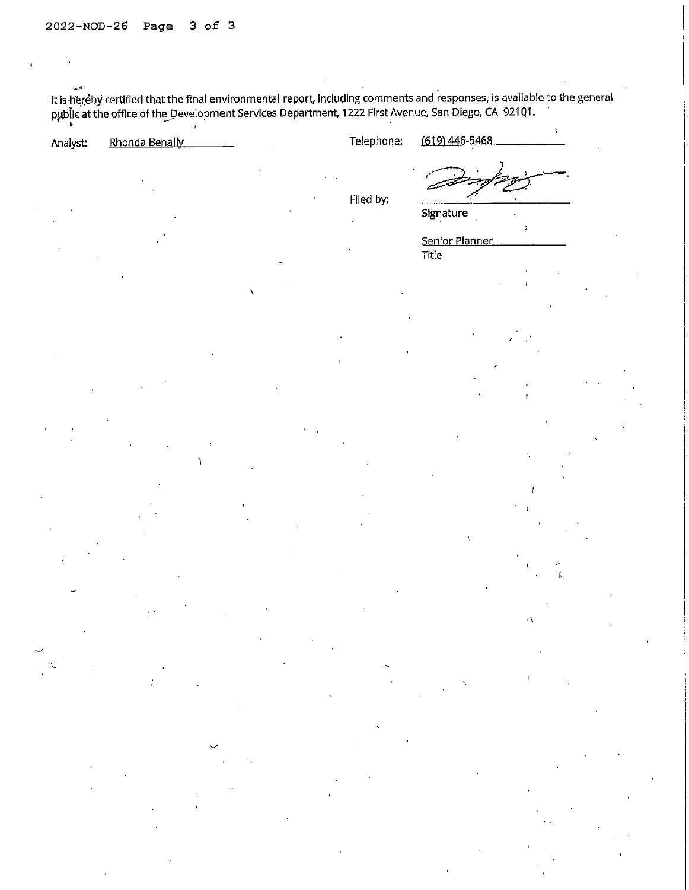It is hereby certified that the final environmental report, including comments and responses, is available to the general<br>public at the office of the Development Services Department, 1222 First Avenue, San Diego, CA 92101.

| Analyst: | Rhonda Benally                     | Telephone: | (619) 446-5468                       |
|----------|------------------------------------|------------|--------------------------------------|
|          | $\sim$<br>$\overline{\phantom{a}}$ | Filed by:  | Signature<br>Senior Planner<br>Title |
|          |                                    |            |                                      |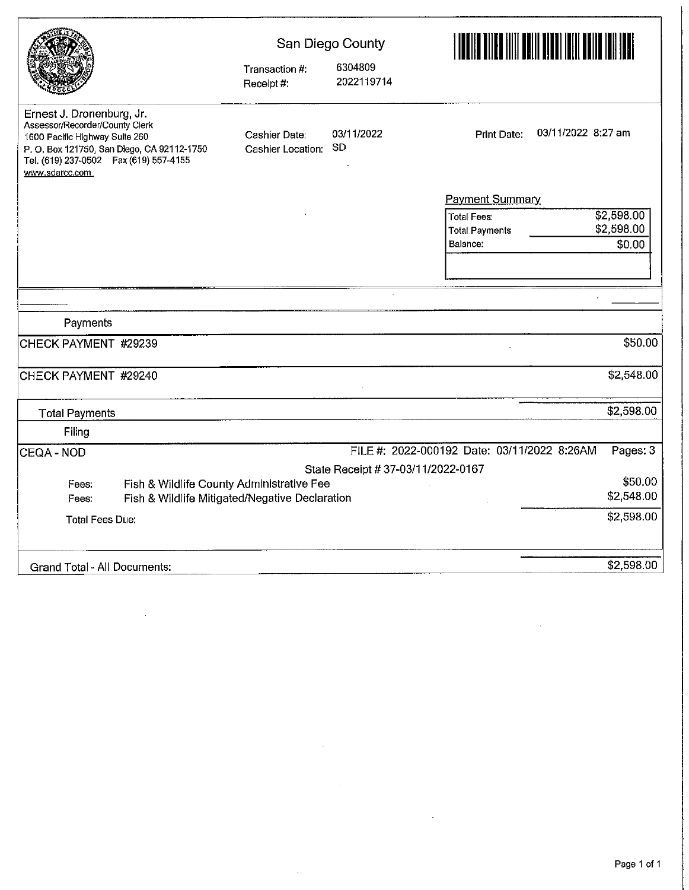|                                                                                                                                                                                                          | Transaction #:<br>Receipt #:                   | San Diego County<br>6304809<br>2022119714 | EN DE LA PORTA DE LA PORTA DE LA PORTA DE LA PORTA DE LA PORTA DE LA PORTA DE LA PORTA DE LA PORTA DE LA PORTA<br>LA PORTA DELLA PORTA DELLA PORTA DELLA PORTA DELLA PORTA DELLA PORTA DELLA PORTA DELLA PORTA DELLA PORTA DELLA |
|----------------------------------------------------------------------------------------------------------------------------------------------------------------------------------------------------------|------------------------------------------------|-------------------------------------------|----------------------------------------------------------------------------------------------------------------------------------------------------------------------------------------------------------------------------------|
| Ernest J. Dronenburg, Jr.<br>Assessor/Recorder/County Clerk<br>1600 Pacific Highway Suite 260<br>P. O. Box 121750, San Diego, CA 92112-1750<br>Tel. (619) 237-0502  Fax (619) 557-4155<br>www.sdarcc.com | Cashier Date:<br>Cashier Location:             | 03/11/2022<br><b>SD</b>                   | 03/11/2022 8:27 am<br><b>Print Date:</b>                                                                                                                                                                                         |
|                                                                                                                                                                                                          |                                                |                                           | <b>Payment Summary</b>                                                                                                                                                                                                           |
|                                                                                                                                                                                                          |                                                |                                           | \$2,598.00<br><b>Total Fees:</b><br>\$2,598.00<br><b>Total Payments</b><br>Balance:<br>\$0.00                                                                                                                                    |
|                                                                                                                                                                                                          |                                                |                                           |                                                                                                                                                                                                                                  |
| Payments                                                                                                                                                                                                 |                                                |                                           |                                                                                                                                                                                                                                  |
| CHECK PAYMENT #29239                                                                                                                                                                                     |                                                |                                           | \$50.00                                                                                                                                                                                                                          |
|                                                                                                                                                                                                          |                                                |                                           |                                                                                                                                                                                                                                  |
| CHECK PAYMENT #29240                                                                                                                                                                                     |                                                |                                           | \$2,548.00                                                                                                                                                                                                                       |
| <b>Total Payments</b>                                                                                                                                                                                    |                                                |                                           | \$2,598.00                                                                                                                                                                                                                       |
| Filing                                                                                                                                                                                                   |                                                |                                           |                                                                                                                                                                                                                                  |
| CEQA - NOD                                                                                                                                                                                               |                                                |                                           | FILE #: 2022-000192 Date: 03/11/2022 8:26AM<br>Pages: 3                                                                                                                                                                          |
|                                                                                                                                                                                                          |                                                | State Receipt # 37-03/11/2022-0167        |                                                                                                                                                                                                                                  |
| Fees:                                                                                                                                                                                                    | Fish & Wildlife County Administrative Fee      |                                           | \$50.00                                                                                                                                                                                                                          |
| Fees:                                                                                                                                                                                                    | Fish & Wildlife Mitigated/Negative Declaration |                                           | \$2,548.00                                                                                                                                                                                                                       |
| Total Fees Due:                                                                                                                                                                                          |                                                |                                           | \$2,598.00                                                                                                                                                                                                                       |
| Grand Total - All Documents:                                                                                                                                                                             |                                                |                                           | \$2,598.00                                                                                                                                                                                                                       |

 $\bar{z}$ 

 $\sim 10^{-1}$ 

 $\sim$ 

 $\sim$